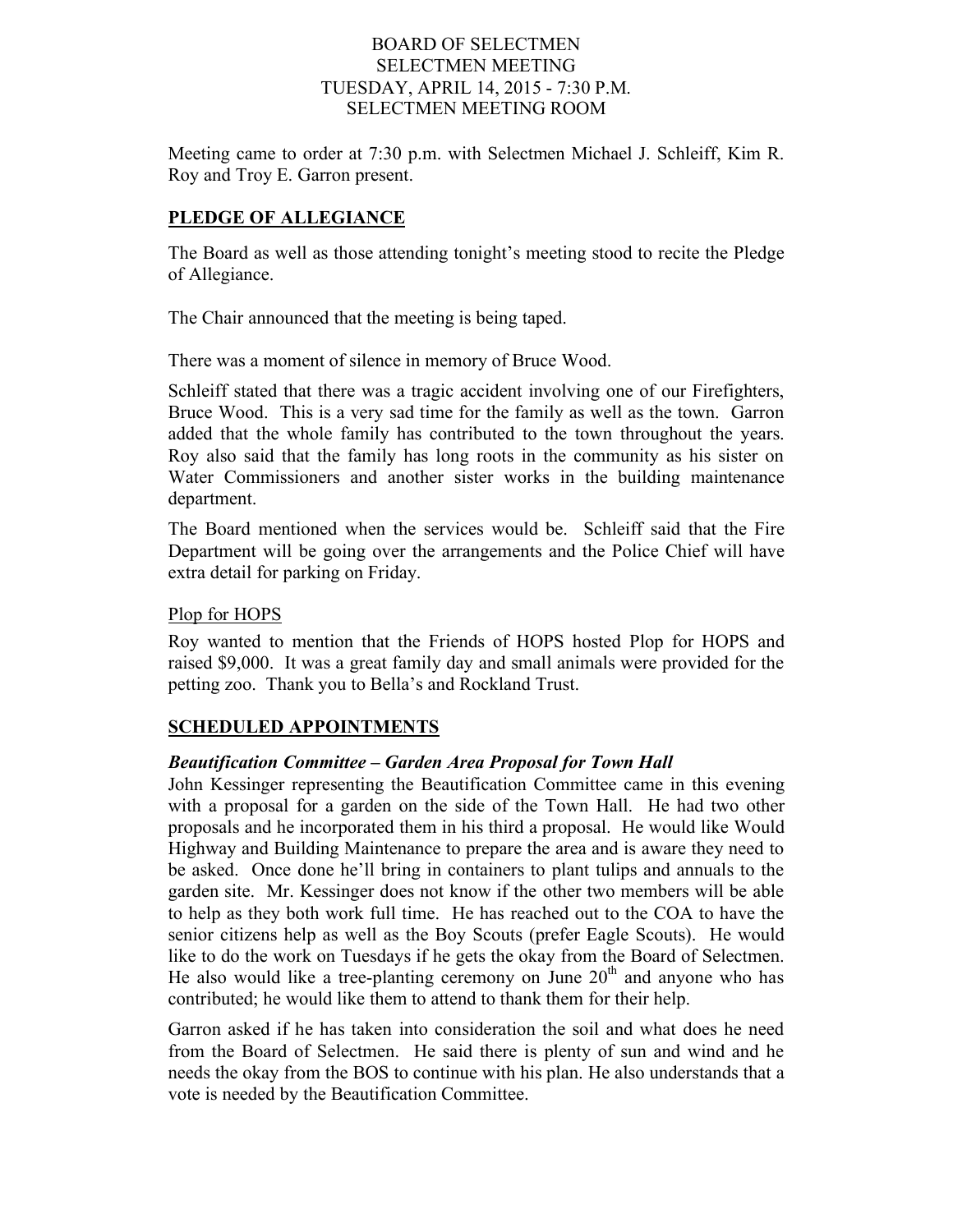#### BOARD OF SELECTMEN SELECTMEN MEETING TUESDAY, APRIL 14, 2015 - 7:30 P.M. SELECTMEN MEETING ROOM

Meeting came to order at 7:30 p.m. with Selectmen Michael J. Schleiff, Kim R. Roy and Troy E. Garron present.

# **PLEDGE OF ALLEGIANCE**

The Board as well as those attending tonight's meeting stood to recite the Pledge of Allegiance.

The Chair announced that the meeting is being taped.

There was a moment of silence in memory of Bruce Wood.

Schleiff stated that there was a tragic accident involving one of our Firefighters, Bruce Wood. This is a very sad time for the family as well as the town. Garron added that the whole family has contributed to the town throughout the years. Roy also said that the family has long roots in the community as his sister on Water Commissioners and another sister works in the building maintenance department.

The Board mentioned when the services would be. Schleiff said that the Fire Department will be going over the arrangements and the Police Chief will have extra detail for parking on Friday.

## Plop for HOPS

Roy wanted to mention that the Friends of HOPS hosted Plop for HOPS and raised \$9,000. It was a great family day and small animals were provided for the petting zoo. Thank you to Bella's and Rockland Trust.

# **SCHEDULED APPOINTMENTS**

# *Beautification Committee – Garden Area Proposal for Town Hall*

John Kessinger representing the Beautification Committee came in this evening with a proposal for a garden on the side of the Town Hall. He had two other proposals and he incorporated them in his third a proposal. He would like Would Highway and Building Maintenance to prepare the area and is aware they need to be asked. Once done he'll bring in containers to plant tulips and annuals to the garden site. Mr. Kessinger does not know if the other two members will be able to help as they both work full time. He has reached out to the COA to have the senior citizens help as well as the Boy Scouts (prefer Eagle Scouts). He would like to do the work on Tuesdays if he gets the okay from the Board of Selectmen. He also would like a tree-planting ceremony on June  $20<sup>th</sup>$  and anyone who has contributed; he would like them to attend to thank them for their help.

Garron asked if he has taken into consideration the soil and what does he need from the Board of Selectmen. He said there is plenty of sun and wind and he needs the okay from the BOS to continue with his plan. He also understands that a vote is needed by the Beautification Committee.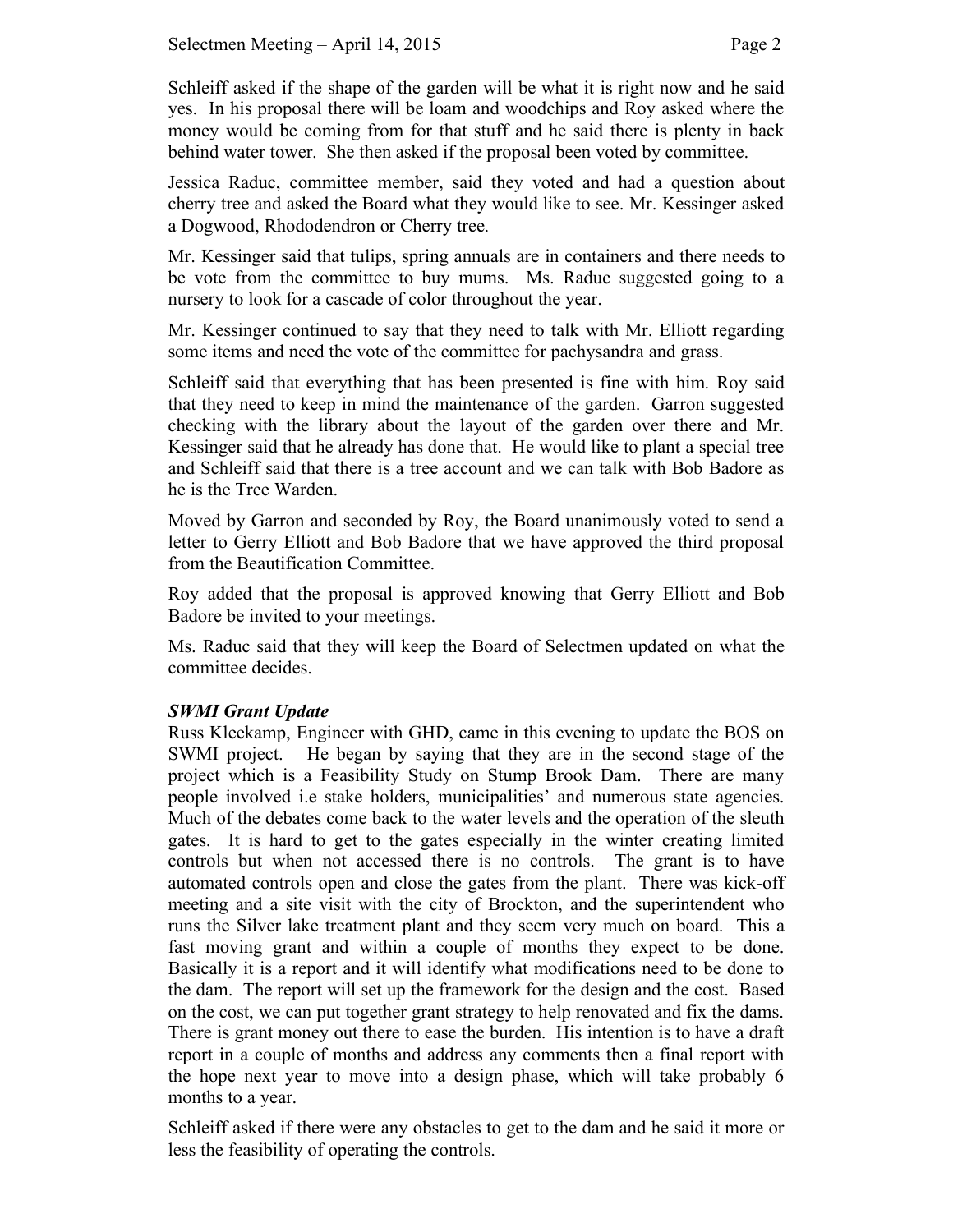Schleiff asked if the shape of the garden will be what it is right now and he said yes. In his proposal there will be loam and woodchips and Roy asked where the money would be coming from for that stuff and he said there is plenty in back behind water tower. She then asked if the proposal been voted by committee.

Jessica Raduc, committee member, said they voted and had a question about cherry tree and asked the Board what they would like to see. Mr. Kessinger asked a Dogwood, Rhododendron or Cherry tree.

Mr. Kessinger said that tulips, spring annuals are in containers and there needs to be vote from the committee to buy mums. Ms. Raduc suggested going to a nursery to look for a cascade of color throughout the year.

Mr. Kessinger continued to say that they need to talk with Mr. Elliott regarding some items and need the vote of the committee for pachysandra and grass.

Schleiff said that everything that has been presented is fine with him. Roy said that they need to keep in mind the maintenance of the garden. Garron suggested checking with the library about the layout of the garden over there and Mr. Kessinger said that he already has done that. He would like to plant a special tree and Schleiff said that there is a tree account and we can talk with Bob Badore as he is the Tree Warden.

Moved by Garron and seconded by Roy, the Board unanimously voted to send a letter to Gerry Elliott and Bob Badore that we have approved the third proposal from the Beautification Committee.

Roy added that the proposal is approved knowing that Gerry Elliott and Bob Badore be invited to your meetings.

Ms. Raduc said that they will keep the Board of Selectmen updated on what the committee decides.

# *SWMI Grant Update*

Russ Kleekamp, Engineer with GHD, came in this evening to update the BOS on SWMI project. He began by saying that they are in the second stage of the project which is a Feasibility Study on Stump Brook Dam. There are many people involved i.e stake holders, municipalities' and numerous state agencies. Much of the debates come back to the water levels and the operation of the sleuth gates. It is hard to get to the gates especially in the winter creating limited controls but when not accessed there is no controls. The grant is to have automated controls open and close the gates from the plant. There was kick-off meeting and a site visit with the city of Brockton, and the superintendent who runs the Silver lake treatment plant and they seem very much on board. This a fast moving grant and within a couple of months they expect to be done. Basically it is a report and it will identify what modifications need to be done to the dam. The report will set up the framework for the design and the cost. Based on the cost, we can put together grant strategy to help renovated and fix the dams. There is grant money out there to ease the burden. His intention is to have a draft report in a couple of months and address any comments then a final report with the hope next year to move into a design phase, which will take probably 6 months to a year.

Schleiff asked if there were any obstacles to get to the dam and he said it more or less the feasibility of operating the controls.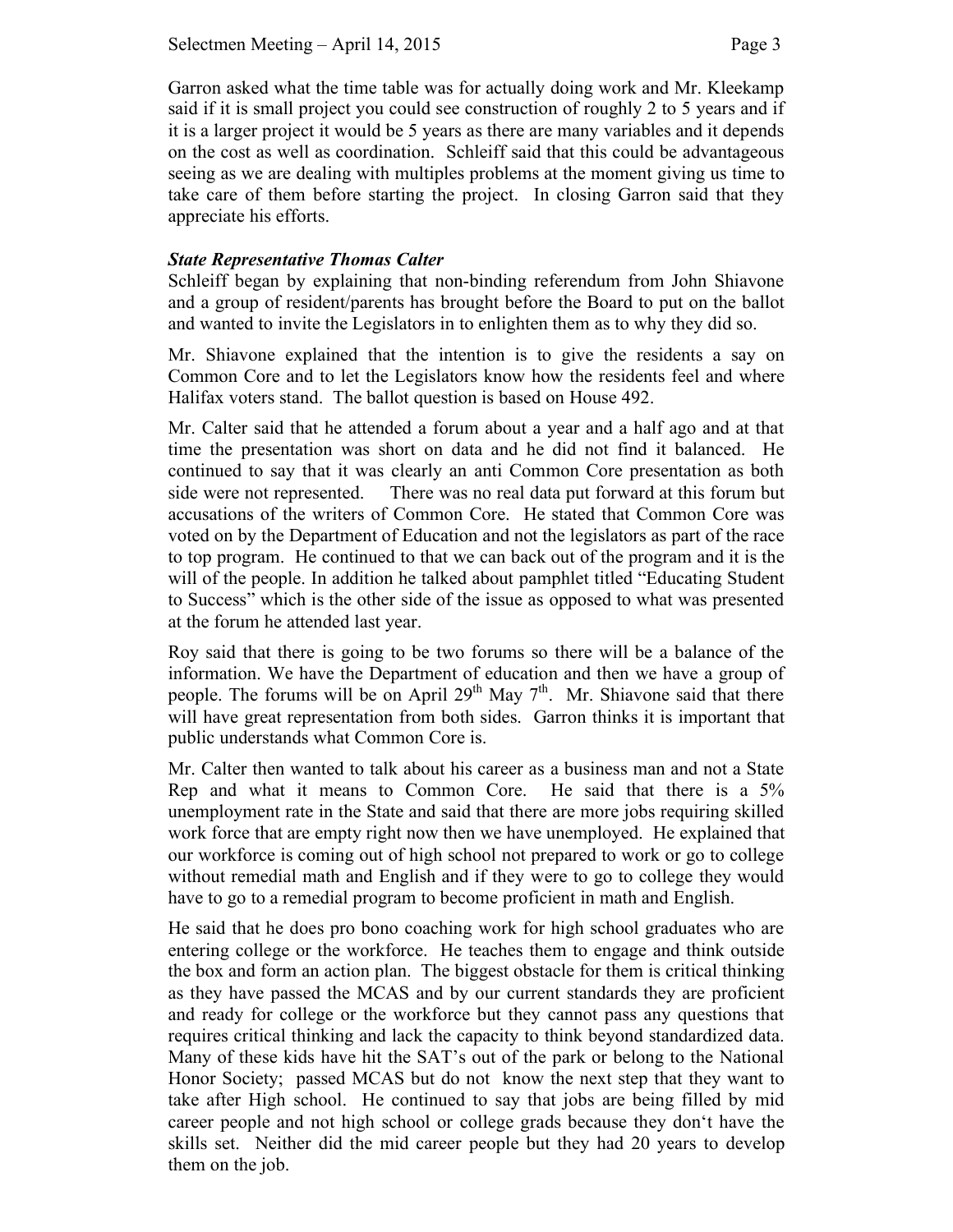Garron asked what the time table was for actually doing work and Mr. Kleekamp said if it is small project you could see construction of roughly 2 to 5 years and if it is a larger project it would be 5 years as there are many variables and it depends on the cost as well as coordination. Schleiff said that this could be advantageous seeing as we are dealing with multiples problems at the moment giving us time to take care of them before starting the project. In closing Garron said that they appreciate his efforts.

# *State Representative Thomas Calter*

Schleiff began by explaining that non-binding referendum from John Shiavone and a group of resident/parents has brought before the Board to put on the ballot and wanted to invite the Legislators in to enlighten them as to why they did so.

Mr. Shiavone explained that the intention is to give the residents a say on Common Core and to let the Legislators know how the residents feel and where Halifax voters stand. The ballot question is based on House 492.

Mr. Calter said that he attended a forum about a year and a half ago and at that time the presentation was short on data and he did not find it balanced. He continued to say that it was clearly an anti Common Core presentation as both side were not represented. There was no real data put forward at this forum but accusations of the writers of Common Core. He stated that Common Core was voted on by the Department of Education and not the legislators as part of the race to top program. He continued to that we can back out of the program and it is the will of the people. In addition he talked about pamphlet titled "Educating Student to Success" which is the other side of the issue as opposed to what was presented at the forum he attended last year.

Roy said that there is going to be two forums so there will be a balance of the information. We have the Department of education and then we have a group of people. The forums will be on April 29<sup>th</sup> May  $7<sup>th</sup>$ . Mr. Shiavone said that there will have great representation from both sides. Garron thinks it is important that public understands what Common Core is.

Mr. Calter then wanted to talk about his career as a business man and not a State Rep and what it means to Common Core. He said that there is a 5% unemployment rate in the State and said that there are more jobs requiring skilled work force that are empty right now then we have unemployed. He explained that our workforce is coming out of high school not prepared to work or go to college without remedial math and English and if they were to go to college they would have to go to a remedial program to become proficient in math and English.

He said that he does pro bono coaching work for high school graduates who are entering college or the workforce. He teaches them to engage and think outside the box and form an action plan. The biggest obstacle for them is critical thinking as they have passed the MCAS and by our current standards they are proficient and ready for college or the workforce but they cannot pass any questions that requires critical thinking and lack the capacity to think beyond standardized data. Many of these kids have hit the SAT's out of the park or belong to the National Honor Society; passed MCAS but do not know the next step that they want to take after High school. He continued to say that jobs are being filled by mid career people and not high school or college grads because they don't have the skills set. Neither did the mid career people but they had 20 years to develop them on the job.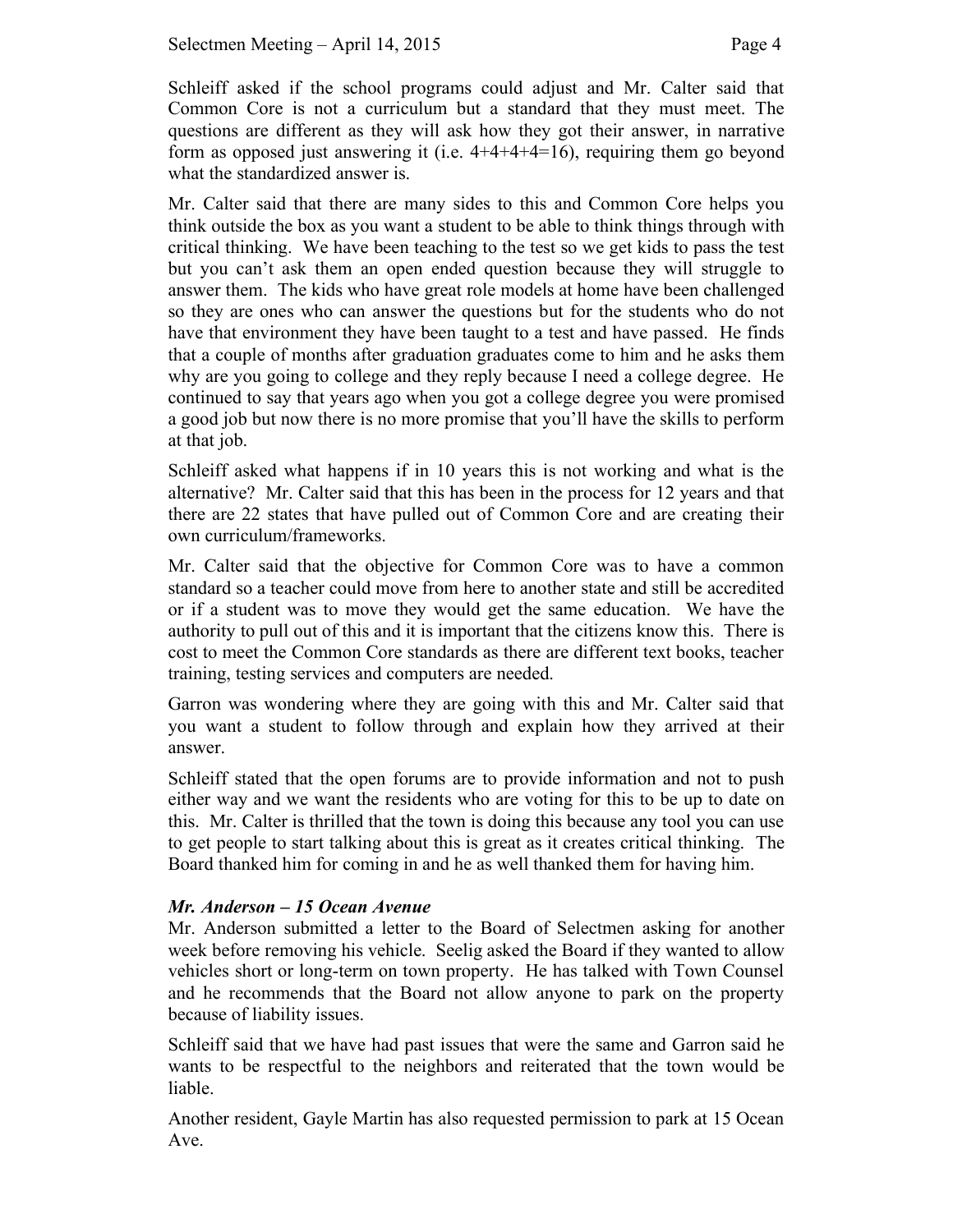Schleiff asked if the school programs could adjust and Mr. Calter said that Common Core is not a curriculum but a standard that they must meet. The questions are different as they will ask how they got their answer, in narrative form as opposed just answering it (i.e.  $4+4+4+4=16$ ), requiring them go beyond what the standardized answer is.

Mr. Calter said that there are many sides to this and Common Core helps you think outside the box as you want a student to be able to think things through with critical thinking. We have been teaching to the test so we get kids to pass the test but you can't ask them an open ended question because they will struggle to answer them. The kids who have great role models at home have been challenged so they are ones who can answer the questions but for the students who do not have that environment they have been taught to a test and have passed. He finds that a couple of months after graduation graduates come to him and he asks them why are you going to college and they reply because I need a college degree. He continued to say that years ago when you got a college degree you were promised a good job but now there is no more promise that you'll have the skills to perform at that job.

Schleiff asked what happens if in 10 years this is not working and what is the alternative? Mr. Calter said that this has been in the process for 12 years and that there are 22 states that have pulled out of Common Core and are creating their own curriculum/frameworks.

Mr. Calter said that the objective for Common Core was to have a common standard so a teacher could move from here to another state and still be accredited or if a student was to move they would get the same education. We have the authority to pull out of this and it is important that the citizens know this. There is cost to meet the Common Core standards as there are different text books, teacher training, testing services and computers are needed.

Garron was wondering where they are going with this and Mr. Calter said that you want a student to follow through and explain how they arrived at their answer.

Schleiff stated that the open forums are to provide information and not to push either way and we want the residents who are voting for this to be up to date on this. Mr. Calter is thrilled that the town is doing this because any tool you can use to get people to start talking about this is great as it creates critical thinking. The Board thanked him for coming in and he as well thanked them for having him.

#### *Mr. Anderson – 15 Ocean Avenue*

Mr. Anderson submitted a letter to the Board of Selectmen asking for another week before removing his vehicle. Seelig asked the Board if they wanted to allow vehicles short or long-term on town property. He has talked with Town Counsel and he recommends that the Board not allow anyone to park on the property because of liability issues.

Schleiff said that we have had past issues that were the same and Garron said he wants to be respectful to the neighbors and reiterated that the town would be liable.

Another resident, Gayle Martin has also requested permission to park at 15 Ocean Ave.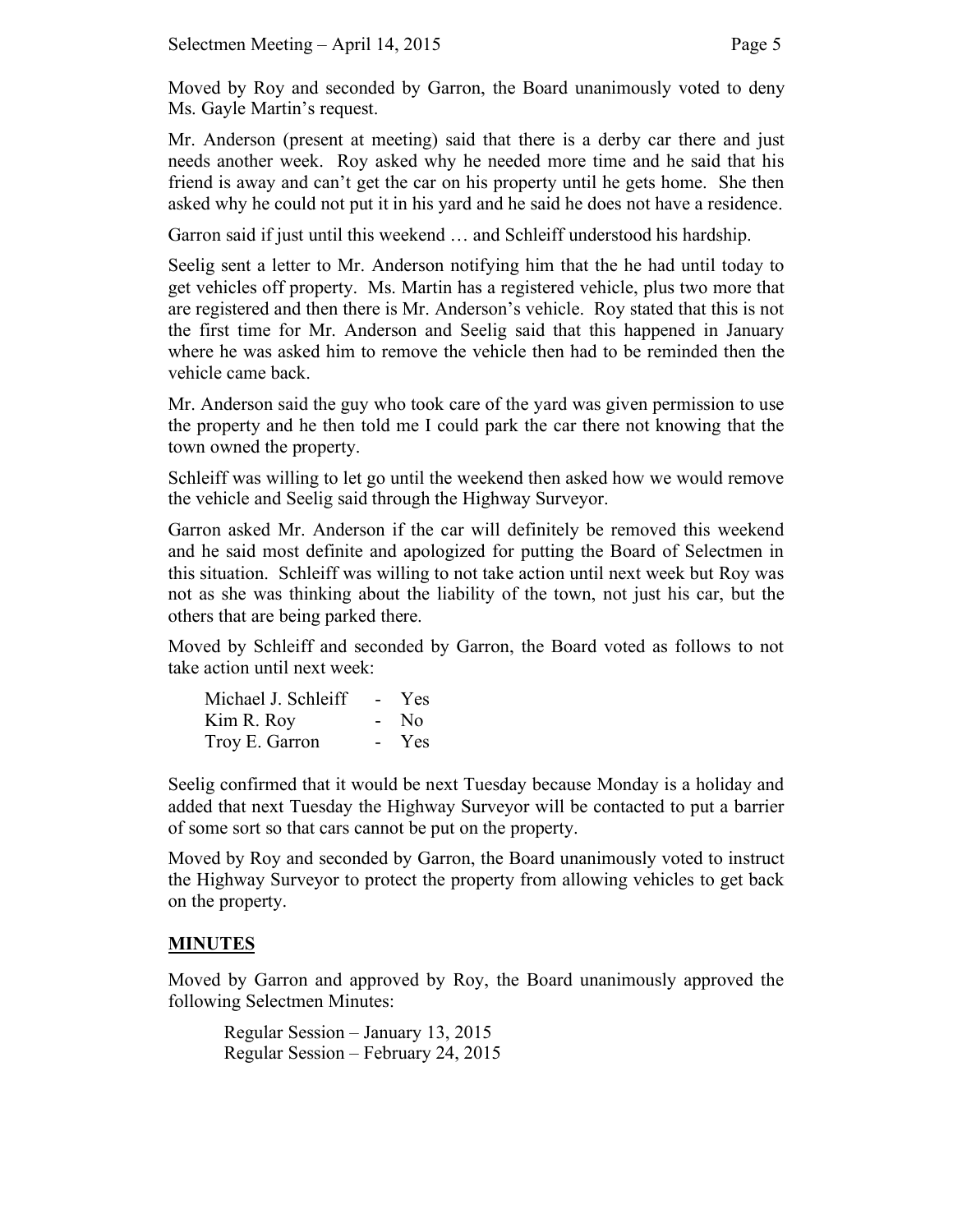Moved by Roy and seconded by Garron, the Board unanimously voted to deny Ms. Gayle Martin's request.

Mr. Anderson (present at meeting) said that there is a derby car there and just needs another week. Roy asked why he needed more time and he said that his friend is away and can't get the car on his property until he gets home. She then asked why he could not put it in his yard and he said he does not have a residence.

Garron said if just until this weekend … and Schleiff understood his hardship.

Seelig sent a letter to Mr. Anderson notifying him that the he had until today to get vehicles off property. Ms. Martin has a registered vehicle, plus two more that are registered and then there is Mr. Anderson's vehicle. Roy stated that this is not the first time for Mr. Anderson and Seelig said that this happened in January where he was asked him to remove the vehicle then had to be reminded then the vehicle came back.

Mr. Anderson said the guy who took care of the yard was given permission to use the property and he then told me I could park the car there not knowing that the town owned the property.

Schleiff was willing to let go until the weekend then asked how we would remove the vehicle and Seelig said through the Highway Surveyor.

Garron asked Mr. Anderson if the car will definitely be removed this weekend and he said most definite and apologized for putting the Board of Selectmen in this situation. Schleiff was willing to not take action until next week but Roy was not as she was thinking about the liability of the town, not just his car, but the others that are being parked there.

Moved by Schleiff and seconded by Garron, the Board voted as follows to not take action until next week:

| Michael J. Schleiff | $\sim$ | Yes            |
|---------------------|--------|----------------|
| Kim R. Roy          | $\sim$ | N <sub>0</sub> |
| Troy E. Garron      | $\sim$ | Yes            |

Seelig confirmed that it would be next Tuesday because Monday is a holiday and added that next Tuesday the Highway Surveyor will be contacted to put a barrier of some sort so that cars cannot be put on the property.

Moved by Roy and seconded by Garron, the Board unanimously voted to instruct the Highway Surveyor to protect the property from allowing vehicles to get back on the property.

# **MINUTES**

Moved by Garron and approved by Roy, the Board unanimously approved the following Selectmen Minutes:

Regular Session – January 13, 2015 Regular Session – February 24, 2015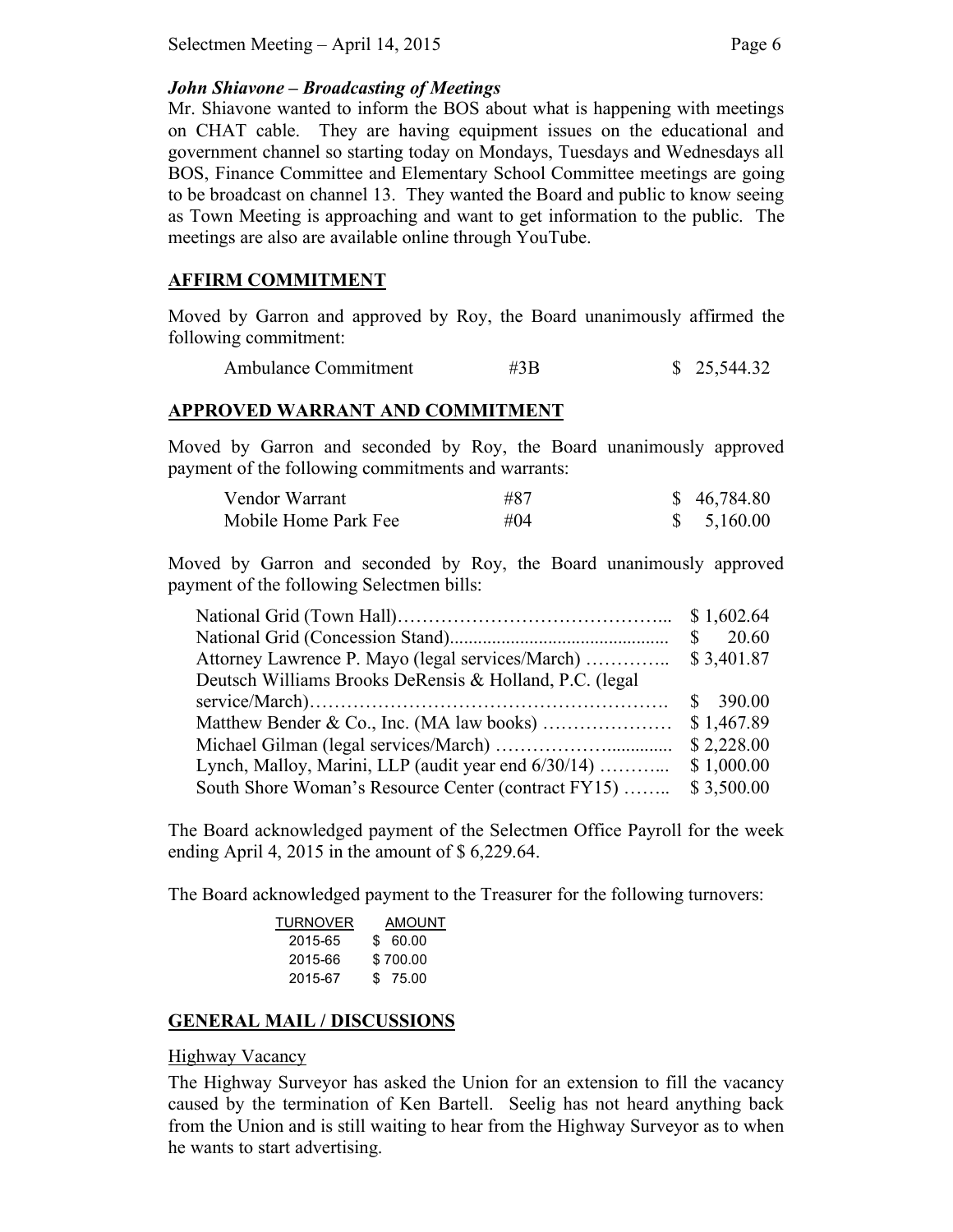# *John Shiavone – Broadcasting of Meetings*

Mr. Shiavone wanted to inform the BOS about what is happening with meetings on CHAT cable. They are having equipment issues on the educational and government channel so starting today on Mondays, Tuesdays and Wednesdays all BOS, Finance Committee and Elementary School Committee meetings are going to be broadcast on channel 13. They wanted the Board and public to know seeing as Town Meeting is approaching and want to get information to the public. The meetings are also are available online through YouTube.

# **AFFIRM COMMITMENT**

Moved by Garron and approved by Roy, the Board unanimously affirmed the following commitment:

Ambulance Commitment #3B \$ 25,544.32

# **APPROVED WARRANT AND COMMITMENT**

Moved by Garron and seconded by Roy, the Board unanimously approved payment of the following commitments and warrants:

| Vendor Warrant       | #87    | \$46,784.80 |
|----------------------|--------|-------------|
| Mobile Home Park Fee | # $04$ | \$5,160.00  |

Moved by Garron and seconded by Roy, the Board unanimously approved payment of the following Selectmen bills:

|                                                          | \$1,602.64 |
|----------------------------------------------------------|------------|
|                                                          | 20.60<br>S |
| Attorney Lawrence P. Mayo (legal services/March)         | \$3,401.87 |
| Deutsch Williams Brooks DeRensis & Holland, P.C. (legal) |            |
|                                                          | 390.00     |
|                                                          | \$1,467.89 |
|                                                          | \$2,228.00 |
| Lynch, Malloy, Marini, LLP (audit year end 6/30/14)      | \$1,000.00 |
| South Shore Woman's Resource Center (contract FY15)      | \$3,500.00 |

The Board acknowledged payment of the Selectmen Office Payroll for the week ending April 4, 2015 in the amount of \$ 6,229.64.

The Board acknowledged payment to the Treasurer for the following turnovers:

| TURNOVER | AMOUNT   |
|----------|----------|
| 2015-65  | \$60.00  |
| 2015-66  | \$700.00 |
| 2015-67  | \$ 75.00 |
|          |          |

# **GENERAL MAIL / DISCUSSIONS**

# Highway Vacancy

The Highway Surveyor has asked the Union for an extension to fill the vacancy caused by the termination of Ken Bartell. Seelig has not heard anything back from the Union and is still waiting to hear from the Highway Surveyor as to when he wants to start advertising.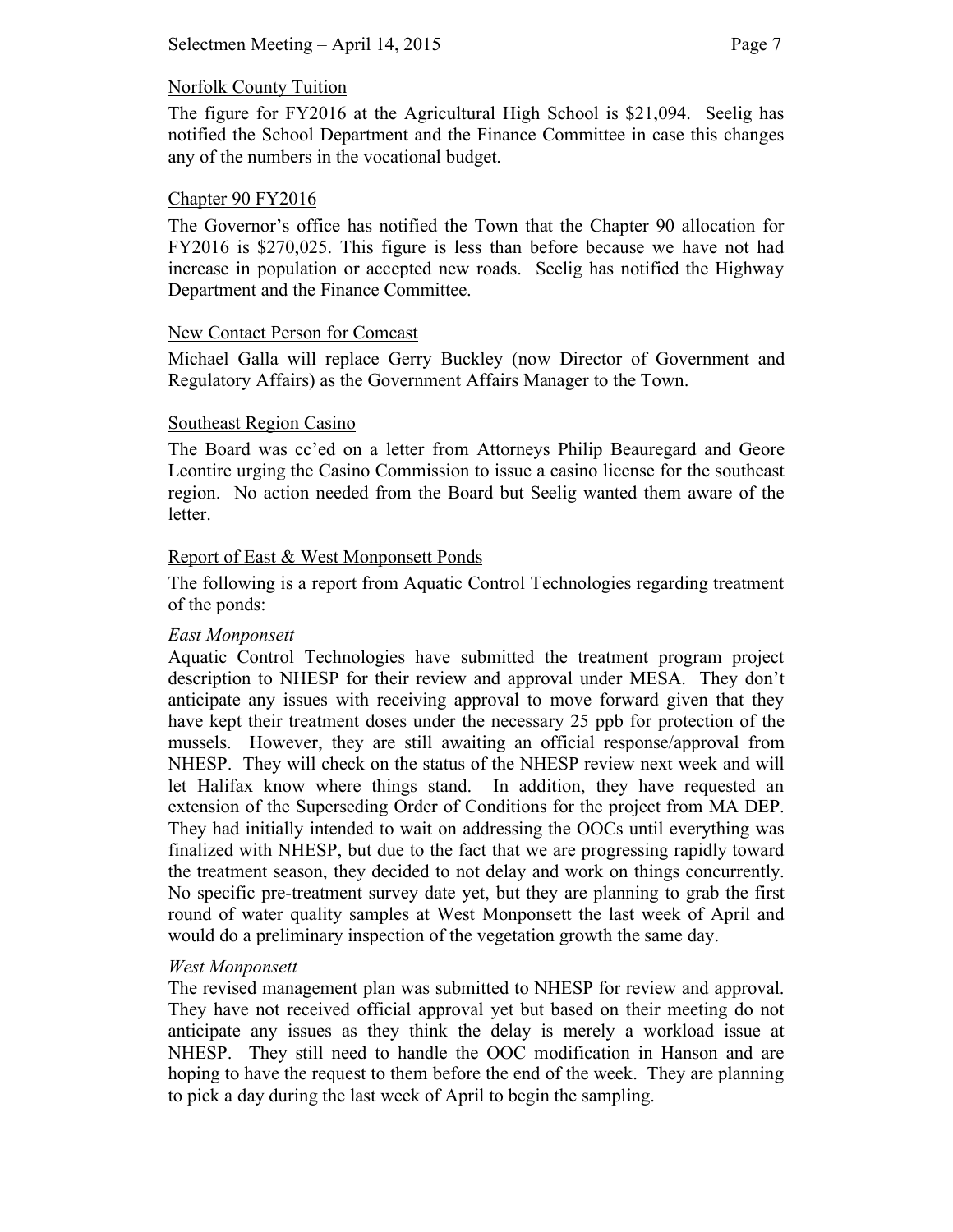## Norfolk County Tuition

The figure for FY2016 at the Agricultural High School is \$21,094. Seelig has notified the School Department and the Finance Committee in case this changes any of the numbers in the vocational budget.

#### Chapter 90 FY2016

The Governor's office has notified the Town that the Chapter 90 allocation for FY2016 is \$270,025. This figure is less than before because we have not had increase in population or accepted new roads. Seelig has notified the Highway Department and the Finance Committee.

## New Contact Person for Comcast

Michael Galla will replace Gerry Buckley (now Director of Government and Regulatory Affairs) as the Government Affairs Manager to the Town.

## Southeast Region Casino

The Board was cc'ed on a letter from Attorneys Philip Beauregard and Geore Leontire urging the Casino Commission to issue a casino license for the southeast region. No action needed from the Board but Seelig wanted them aware of the letter.

## Report of East & West Monponsett Ponds

The following is a report from Aquatic Control Technologies regarding treatment of the ponds:

#### *East Monponsett*

Aquatic Control Technologies have submitted the treatment program project description to NHESP for their review and approval under MESA. They don't anticipate any issues with receiving approval to move forward given that they have kept their treatment doses under the necessary 25 ppb for protection of the mussels. However, they are still awaiting an official response/approval from NHESP. They will check on the status of the NHESP review next week and will let Halifax know where things stand. In addition, they have requested an extension of the Superseding Order of Conditions for the project from MA DEP. They had initially intended to wait on addressing the OOCs until everything was finalized with NHESP, but due to the fact that we are progressing rapidly toward the treatment season, they decided to not delay and work on things concurrently. No specific pre-treatment survey date yet, but they are planning to grab the first round of water quality samples at West Monponsett the last week of April and would do a preliminary inspection of the vegetation growth the same day.

# *West Monponsett*

The revised management plan was submitted to NHESP for review and approval. They have not received official approval yet but based on their meeting do not anticipate any issues as they think the delay is merely a workload issue at NHESP. They still need to handle the OOC modification in Hanson and are hoping to have the request to them before the end of the week. They are planning to pick a day during the last week of April to begin the sampling.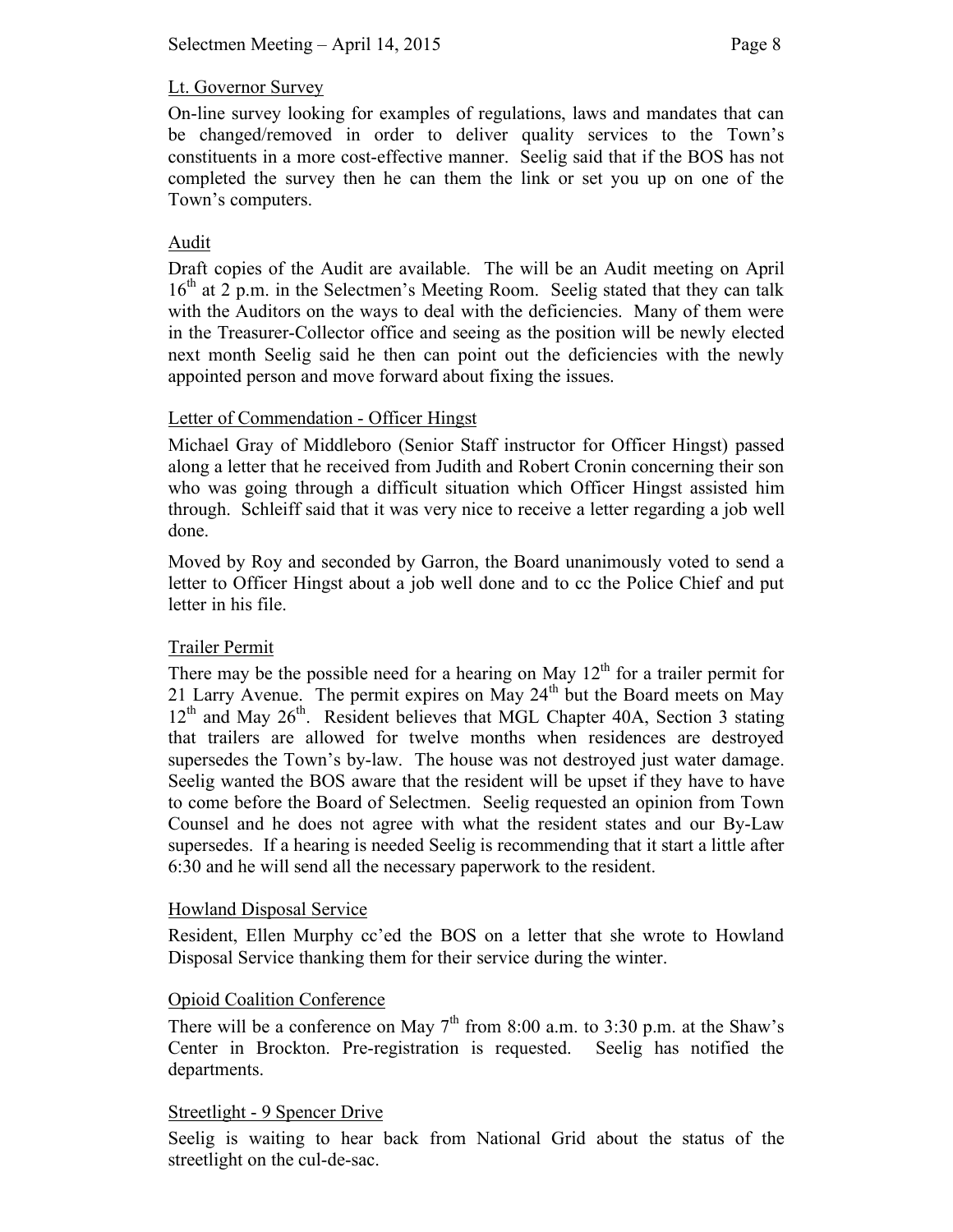## Lt. Governor Survey

On-line survey looking for examples of regulations, laws and mandates that can be changed/removed in order to deliver quality services to the Town's constituents in a more cost-effective manner. Seelig said that if the BOS has not completed the survey then he can them the link or set you up on one of the Town's computers.

## Audit

Draft copies of the Audit are available. The will be an Audit meeting on April 16<sup>th</sup> at 2 p.m. in the Selectmen's Meeting Room. Seelig stated that they can talk with the Auditors on the ways to deal with the deficiencies. Many of them were in the Treasurer-Collector office and seeing as the position will be newly elected next month Seelig said he then can point out the deficiencies with the newly appointed person and move forward about fixing the issues.

## Letter of Commendation - Officer Hingst

Michael Gray of Middleboro (Senior Staff instructor for Officer Hingst) passed along a letter that he received from Judith and Robert Cronin concerning their son who was going through a difficult situation which Officer Hingst assisted him through. Schleiff said that it was very nice to receive a letter regarding a job well done.

Moved by Roy and seconded by Garron, the Board unanimously voted to send a letter to Officer Hingst about a job well done and to cc the Police Chief and put letter in his file.

# Trailer Permit

There may be the possible need for a hearing on May  $12<sup>th</sup>$  for a trailer permit for 21 Larry Avenue. The permit expires on May  $24<sup>th</sup>$  but the Board meets on May  $12<sup>th</sup>$  and May  $26<sup>th</sup>$ . Resident believes that MGL Chapter 40A, Section 3 stating that trailers are allowed for twelve months when residences are destroyed supersedes the Town's by-law. The house was not destroyed just water damage. Seelig wanted the BOS aware that the resident will be upset if they have to have to come before the Board of Selectmen. Seelig requested an opinion from Town Counsel and he does not agree with what the resident states and our By-Law supersedes. If a hearing is needed Seelig is recommending that it start a little after 6:30 and he will send all the necessary paperwork to the resident.

#### Howland Disposal Service

Resident, Ellen Murphy cc'ed the BOS on a letter that she wrote to Howland Disposal Service thanking them for their service during the winter.

#### Opioid Coalition Conference

There will be a conference on May  $7<sup>th</sup>$  from 8:00 a.m. to 3:30 p.m. at the Shaw's Center in Brockton. Pre-registration is requested. Seelig has notified the departments.

#### Streetlight - 9 Spencer Drive

Seelig is waiting to hear back from National Grid about the status of the streetlight on the cul-de-sac.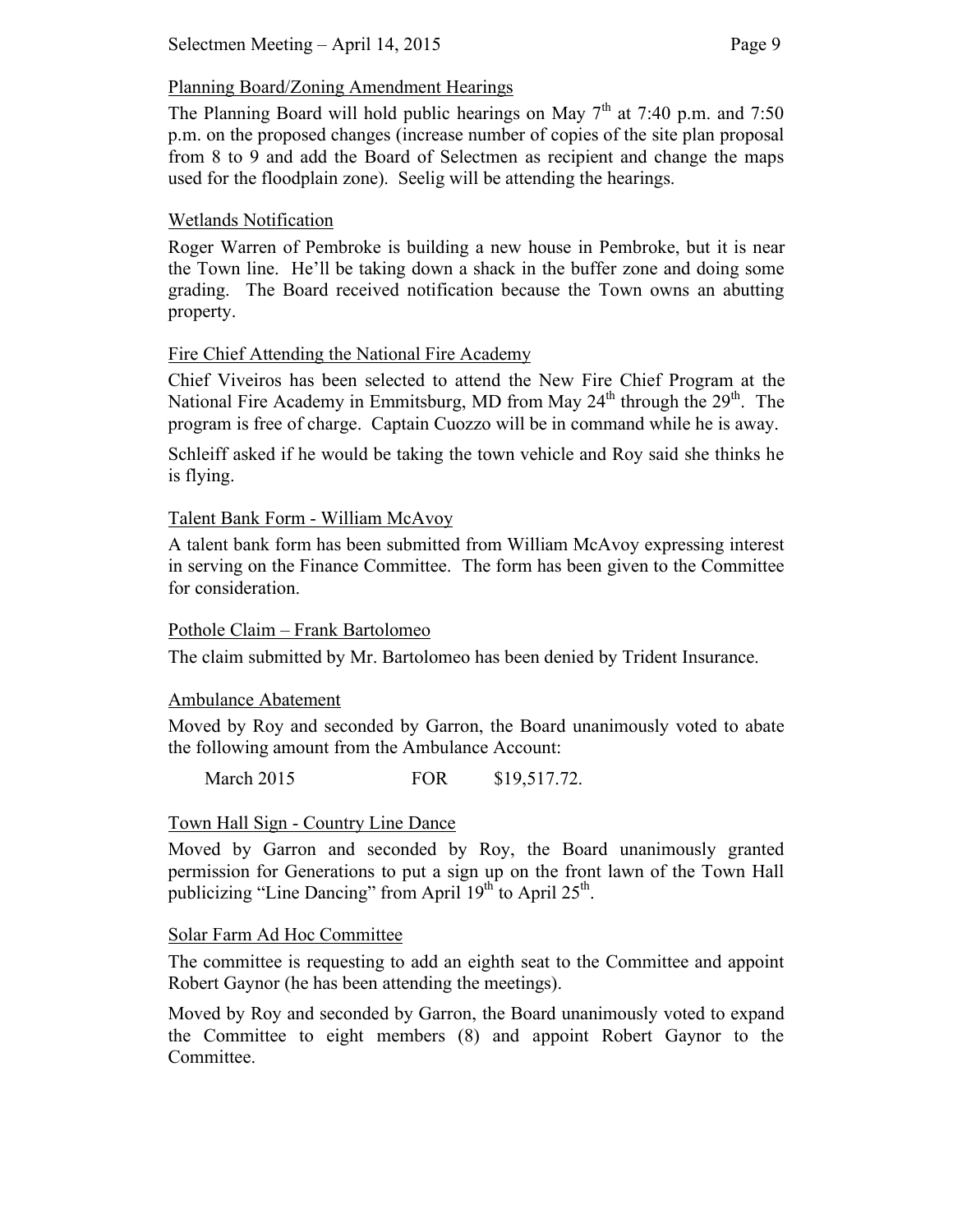# Planning Board/Zoning Amendment Hearings

The Planning Board will hold public hearings on May  $7<sup>th</sup>$  at 7:40 p.m. and 7:50 p.m. on the proposed changes (increase number of copies of the site plan proposal from 8 to 9 and add the Board of Selectmen as recipient and change the maps used for the floodplain zone). Seelig will be attending the hearings.

# Wetlands Notification

Roger Warren of Pembroke is building a new house in Pembroke, but it is near the Town line. He'll be taking down a shack in the buffer zone and doing some grading. The Board received notification because the Town owns an abutting property.

# Fire Chief Attending the National Fire Academy

Chief Viveiros has been selected to attend the New Fire Chief Program at the National Fire Academy in Emmitsburg, MD from May  $24<sup>th</sup>$  through the  $29<sup>th</sup>$ . The program is free of charge. Captain Cuozzo will be in command while he is away.

Schleiff asked if he would be taking the town vehicle and Roy said she thinks he is flying.

# Talent Bank Form - William McAvoy

A talent bank form has been submitted from William McAvoy expressing interest in serving on the Finance Committee. The form has been given to the Committee for consideration.

# Pothole Claim – Frank Bartolomeo

The claim submitted by Mr. Bartolomeo has been denied by Trident Insurance.

# Ambulance Abatement

Moved by Roy and seconded by Garron, the Board unanimously voted to abate the following amount from the Ambulance Account:

March 2015 FOR \$19,517.72.

# Town Hall Sign - Country Line Dance

Moved by Garron and seconded by Roy, the Board unanimously granted permission for Generations to put a sign up on the front lawn of the Town Hall publicizing "Line Dancing" from April  $19<sup>th</sup>$  to April  $25<sup>th</sup>$ .

# Solar Farm Ad Hoc Committee

The committee is requesting to add an eighth seat to the Committee and appoint Robert Gaynor (he has been attending the meetings).

Moved by Roy and seconded by Garron, the Board unanimously voted to expand the Committee to eight members (8) and appoint Robert Gaynor to the Committee.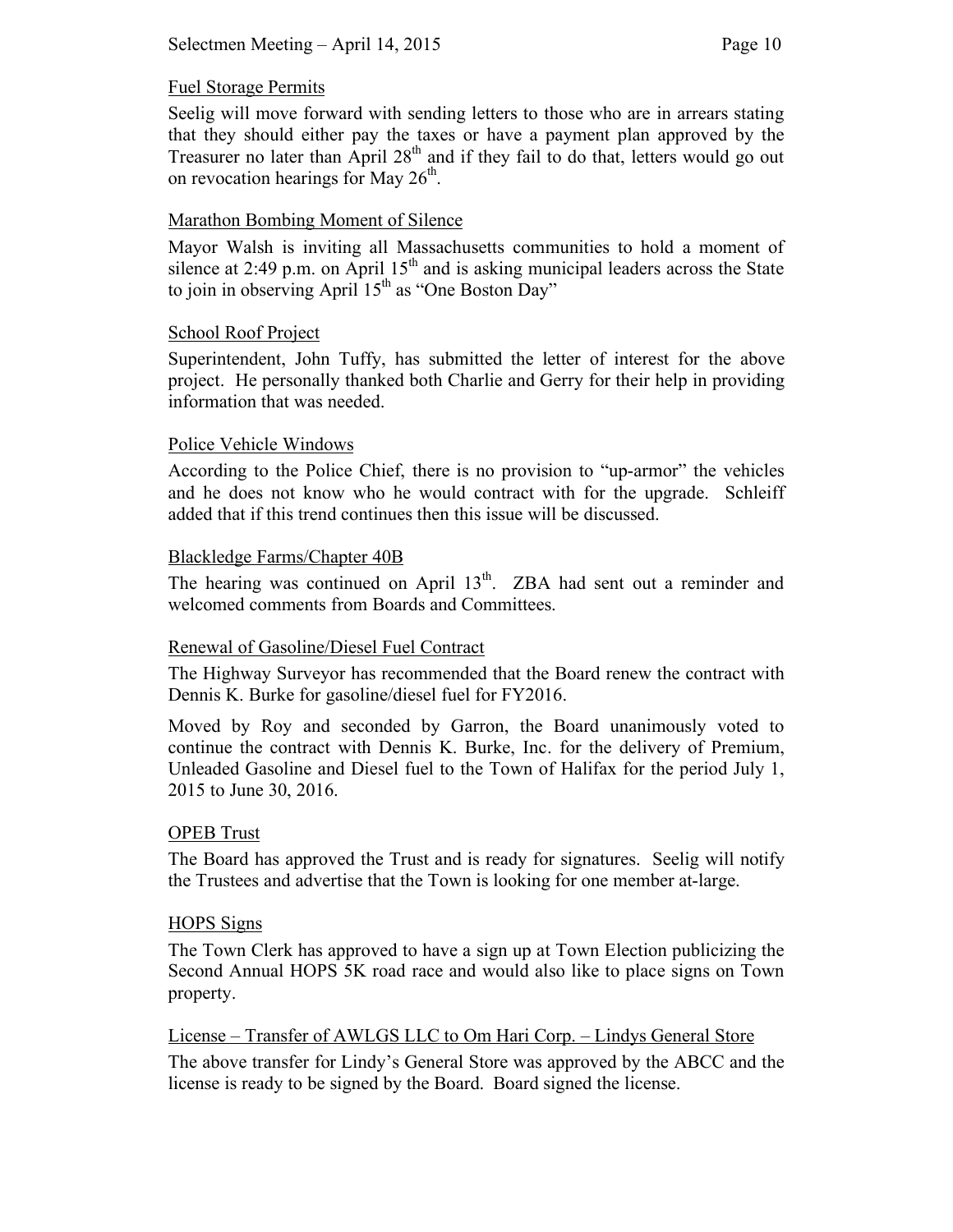#### Fuel Storage Permits

Seelig will move forward with sending letters to those who are in arrears stating that they should either pay the taxes or have a payment plan approved by the Treasurer no later than April  $28<sup>th</sup>$  and if they fail to do that, letters would go out on revocation hearings for May  $26<sup>th</sup>$ .

## Marathon Bombing Moment of Silence

Mayor Walsh is inviting all Massachusetts communities to hold a moment of silence at 2:49 p.m. on April  $15<sup>th</sup>$  and is asking municipal leaders across the State to join in observing April  $15<sup>th</sup>$  as "One Boston Day"

#### School Roof Project

Superintendent, John Tuffy, has submitted the letter of interest for the above project. He personally thanked both Charlie and Gerry for their help in providing information that was needed.

## Police Vehicle Windows

According to the Police Chief, there is no provision to "up-armor" the vehicles and he does not know who he would contract with for the upgrade. Schleiff added that if this trend continues then this issue will be discussed.

## Blackledge Farms/Chapter 40B

The hearing was continued on April  $13<sup>th</sup>$ . ZBA had sent out a reminder and welcomed comments from Boards and Committees.

#### Renewal of Gasoline/Diesel Fuel Contract

The Highway Surveyor has recommended that the Board renew the contract with Dennis K. Burke for gasoline/diesel fuel for FY2016.

Moved by Roy and seconded by Garron, the Board unanimously voted to continue the contract with Dennis K. Burke, Inc. for the delivery of Premium, Unleaded Gasoline and Diesel fuel to the Town of Halifax for the period July 1, 2015 to June 30, 2016.

#### OPEB Trust

The Board has approved the Trust and is ready for signatures. Seelig will notify the Trustees and advertise that the Town is looking for one member at-large.

#### HOPS Signs

The Town Clerk has approved to have a sign up at Town Election publicizing the Second Annual HOPS 5K road race and would also like to place signs on Town property.

## License – Transfer of AWLGS LLC to Om Hari Corp. – Lindys General Store

The above transfer for Lindy's General Store was approved by the ABCC and the license is ready to be signed by the Board. Board signed the license.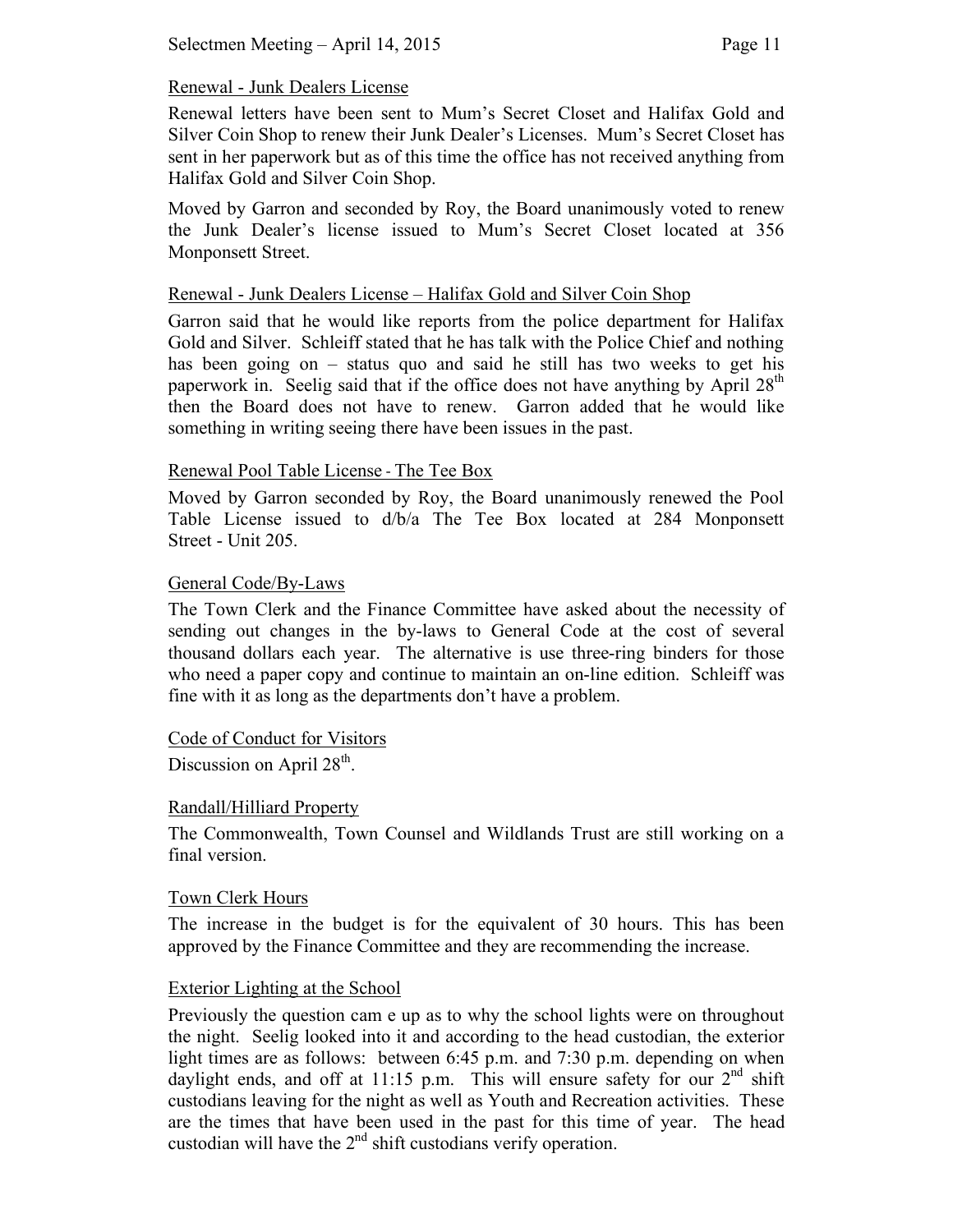#### Renewal - Junk Dealers License

Renewal letters have been sent to Mum's Secret Closet and Halifax Gold and Silver Coin Shop to renew their Junk Dealer's Licenses. Mum's Secret Closet has sent in her paperwork but as of this time the office has not received anything from Halifax Gold and Silver Coin Shop.

Moved by Garron and seconded by Roy, the Board unanimously voted to renew the Junk Dealer's license issued to Mum's Secret Closet located at 356 Monponsett Street.

#### Renewal - Junk Dealers License – Halifax Gold and Silver Coin Shop

Garron said that he would like reports from the police department for Halifax Gold and Silver. Schleiff stated that he has talk with the Police Chief and nothing has been going on – status quo and said he still has two weeks to get his paperwork in. Seelig said that if the office does not have anything by April  $28<sup>th</sup>$ then the Board does not have to renew. Garron added that he would like something in writing seeing there have been issues in the past.

#### Renewal Pool Table License ‐ The Tee Box

Moved by Garron seconded by Roy, the Board unanimously renewed the Pool Table License issued to d/b/a The Tee Box located at 284 Monponsett Street - Unit 205.

#### General Code/By-Laws

The Town Clerk and the Finance Committee have asked about the necessity of sending out changes in the by-laws to General Code at the cost of several thousand dollars each year. The alternative is use three-ring binders for those who need a paper copy and continue to maintain an on-line edition. Schleiff was fine with it as long as the departments don't have a problem.

#### Code of Conduct for Visitors

Discussion on April  $28<sup>th</sup>$ .

#### Randall/Hilliard Property

The Commonwealth, Town Counsel and Wildlands Trust are still working on a final version.

#### Town Clerk Hours

The increase in the budget is for the equivalent of 30 hours. This has been approved by the Finance Committee and they are recommending the increase.

#### Exterior Lighting at the School

Previously the question cam e up as to why the school lights were on throughout the night. Seelig looked into it and according to the head custodian, the exterior light times are as follows: between 6:45 p.m. and 7:30 p.m. depending on when daylight ends, and off at 11:15 p.m. This will ensure safety for our  $2<sup>nd</sup>$  shift custodians leaving for the night as well as Youth and Recreation activities. These are the times that have been used in the past for this time of year. The head custodian will have the  $2<sup>nd</sup>$  shift custodians verify operation.